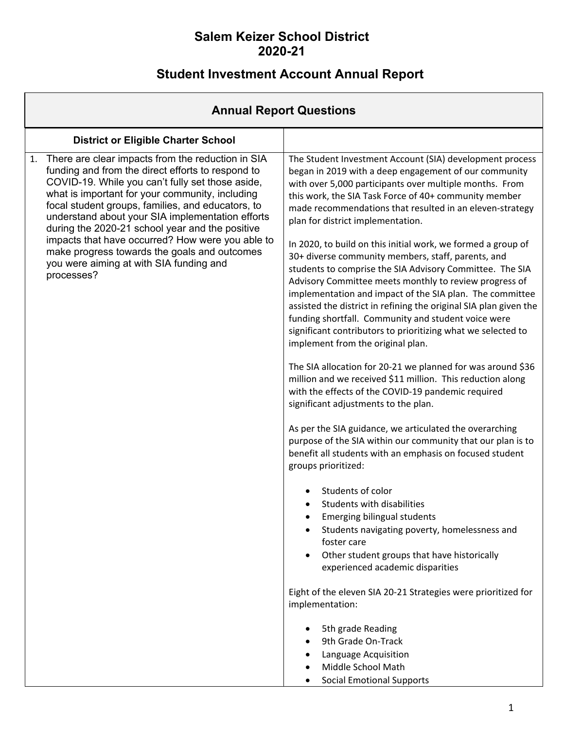# **Student Investment Account Annual Report**

| <b>Annual Report Questions</b>                                                                                                                                                                                                                                                                                                                                                                                                                                                                                                               |                                                                                                                                                                                                                                                                                                                                                                                                                                                                                                                                                                                                                                                                                                                                                                                                                                                                                                                                                                                                                                                                                                                                                                                                                                                                                                                                                                                                                                                                                                                                                                                                                                                                                                                                                                                      |  |  |  |  |  |  |
|----------------------------------------------------------------------------------------------------------------------------------------------------------------------------------------------------------------------------------------------------------------------------------------------------------------------------------------------------------------------------------------------------------------------------------------------------------------------------------------------------------------------------------------------|--------------------------------------------------------------------------------------------------------------------------------------------------------------------------------------------------------------------------------------------------------------------------------------------------------------------------------------------------------------------------------------------------------------------------------------------------------------------------------------------------------------------------------------------------------------------------------------------------------------------------------------------------------------------------------------------------------------------------------------------------------------------------------------------------------------------------------------------------------------------------------------------------------------------------------------------------------------------------------------------------------------------------------------------------------------------------------------------------------------------------------------------------------------------------------------------------------------------------------------------------------------------------------------------------------------------------------------------------------------------------------------------------------------------------------------------------------------------------------------------------------------------------------------------------------------------------------------------------------------------------------------------------------------------------------------------------------------------------------------------------------------------------------------|--|--|--|--|--|--|
| <b>District or Eligible Charter School</b>                                                                                                                                                                                                                                                                                                                                                                                                                                                                                                   |                                                                                                                                                                                                                                                                                                                                                                                                                                                                                                                                                                                                                                                                                                                                                                                                                                                                                                                                                                                                                                                                                                                                                                                                                                                                                                                                                                                                                                                                                                                                                                                                                                                                                                                                                                                      |  |  |  |  |  |  |
| There are clear impacts from the reduction in SIA<br>1.<br>funding and from the direct efforts to respond to<br>COVID-19. While you can't fully set those aside,<br>what is important for your community, including<br>focal student groups, families, and educators, to<br>understand about your SIA implementation efforts<br>during the 2020-21 school year and the positive<br>impacts that have occurred? How were you able to<br>make progress towards the goals and outcomes<br>you were aiming at with SIA funding and<br>processes? | The Student Investment Account (SIA) development process<br>began in 2019 with a deep engagement of our community<br>with over 5,000 participants over multiple months. From<br>this work, the SIA Task Force of 40+ community member<br>made recommendations that resulted in an eleven-strategy<br>plan for district implementation.<br>In 2020, to build on this initial work, we formed a group of<br>30+ diverse community members, staff, parents, and<br>students to comprise the SIA Advisory Committee. The SIA<br>Advisory Committee meets monthly to review progress of<br>implementation and impact of the SIA plan. The committee<br>assisted the district in refining the original SIA plan given the<br>funding shortfall. Community and student voice were<br>significant contributors to prioritizing what we selected to<br>implement from the original plan.<br>The SIA allocation for 20-21 we planned for was around \$36<br>million and we received \$11 million. This reduction along<br>with the effects of the COVID-19 pandemic required<br>significant adjustments to the plan.<br>As per the SIA guidance, we articulated the overarching<br>purpose of the SIA within our community that our plan is to<br>benefit all students with an emphasis on focused student<br>groups prioritized:<br>Students of color<br>Students with disabilities<br><b>Emerging bilingual students</b><br>Students navigating poverty, homelessness and<br>foster care<br>Other student groups that have historically<br>experienced academic disparities<br>Eight of the eleven SIA 20-21 Strategies were prioritized for<br>implementation:<br>5th grade Reading<br>9th Grade On-Track<br>Language Acquisition<br>Middle School Math<br><b>Social Emotional Supports</b> |  |  |  |  |  |  |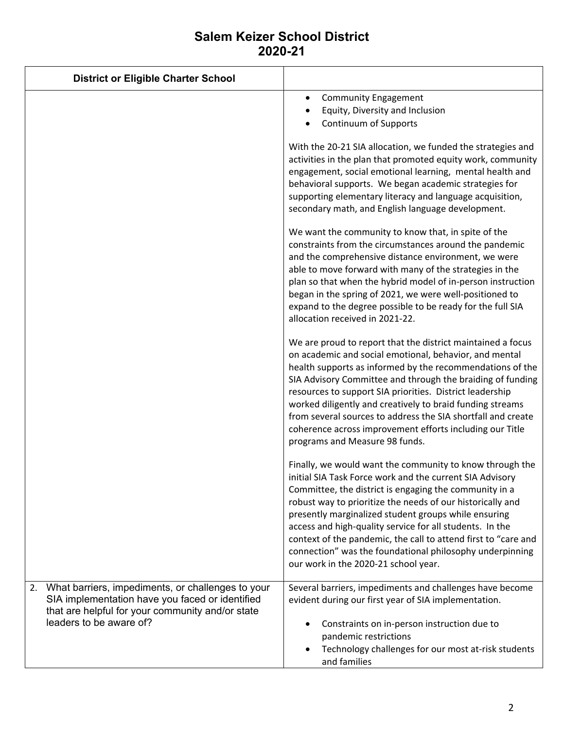| <b>District or Eligible Charter School</b>                                                                                                                                                |                                                                                                                                                                                                                                                                                                                                                                                                                                                                                                                                         |
|-------------------------------------------------------------------------------------------------------------------------------------------------------------------------------------------|-----------------------------------------------------------------------------------------------------------------------------------------------------------------------------------------------------------------------------------------------------------------------------------------------------------------------------------------------------------------------------------------------------------------------------------------------------------------------------------------------------------------------------------------|
|                                                                                                                                                                                           | <b>Community Engagement</b><br>$\bullet$<br>Equity, Diversity and Inclusion<br>Continuum of Supports                                                                                                                                                                                                                                                                                                                                                                                                                                    |
|                                                                                                                                                                                           | With the 20-21 SIA allocation, we funded the strategies and<br>activities in the plan that promoted equity work, community<br>engagement, social emotional learning, mental health and<br>behavioral supports. We began academic strategies for<br>supporting elementary literacy and language acquisition,<br>secondary math, and English language development.                                                                                                                                                                        |
|                                                                                                                                                                                           | We want the community to know that, in spite of the<br>constraints from the circumstances around the pandemic<br>and the comprehensive distance environment, we were<br>able to move forward with many of the strategies in the<br>plan so that when the hybrid model of in-person instruction<br>began in the spring of 2021, we were well-positioned to<br>expand to the degree possible to be ready for the full SIA<br>allocation received in 2021-22.                                                                              |
|                                                                                                                                                                                           | We are proud to report that the district maintained a focus<br>on academic and social emotional, behavior, and mental<br>health supports as informed by the recommendations of the<br>SIA Advisory Committee and through the braiding of funding<br>resources to support SIA priorities. District leadership<br>worked diligently and creatively to braid funding streams<br>from several sources to address the SIA shortfall and create<br>coherence across improvement efforts including our Title<br>programs and Measure 98 funds. |
|                                                                                                                                                                                           | Finally, we would want the community to know through the<br>initial SIA Task Force work and the current SIA Advisory<br>Committee, the district is engaging the community in a<br>robust way to prioritize the needs of our historically and<br>presently marginalized student groups while ensuring<br>access and high-quality service for all students. In the<br>context of the pandemic, the call to attend first to "care and<br>connection" was the foundational philosophy underpinning<br>our work in the 2020-21 school year.  |
| What barriers, impediments, or challenges to your<br>2.<br>SIA implementation have you faced or identified<br>that are helpful for your community and/or state<br>leaders to be aware of? | Several barriers, impediments and challenges have become<br>evident during our first year of SIA implementation.<br>Constraints on in-person instruction due to<br>pandemic restrictions<br>Technology challenges for our most at-risk students<br>and families                                                                                                                                                                                                                                                                         |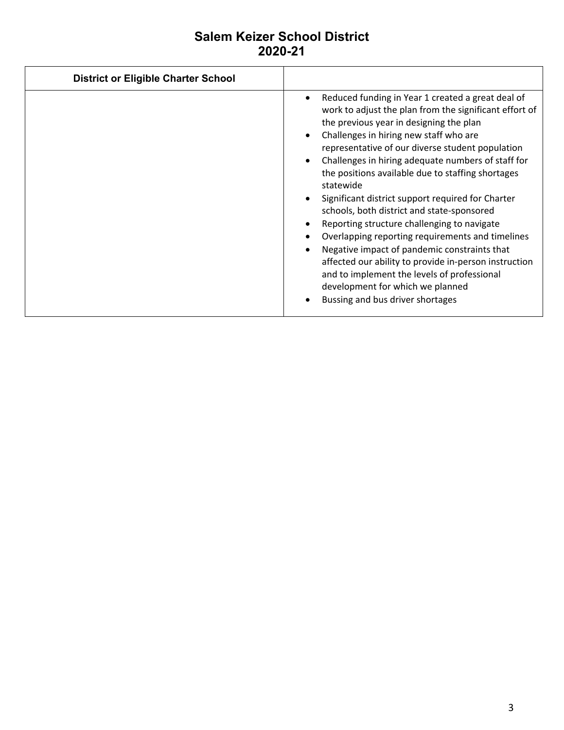| <b>District or Eligible Charter School</b> |                                                                                                                                                                                                                                                                                                                                                                                                                                                                                                                                                                                                                                                                                                                                                                                                                                              |
|--------------------------------------------|----------------------------------------------------------------------------------------------------------------------------------------------------------------------------------------------------------------------------------------------------------------------------------------------------------------------------------------------------------------------------------------------------------------------------------------------------------------------------------------------------------------------------------------------------------------------------------------------------------------------------------------------------------------------------------------------------------------------------------------------------------------------------------------------------------------------------------------------|
|                                            | Reduced funding in Year 1 created a great deal of<br>$\bullet$<br>work to adjust the plan from the significant effort of<br>the previous year in designing the plan<br>Challenges in hiring new staff who are<br>representative of our diverse student population<br>Challenges in hiring adequate numbers of staff for<br>$\bullet$<br>the positions available due to staffing shortages<br>statewide<br>Significant district support required for Charter<br>schools, both district and state-sponsored<br>Reporting structure challenging to navigate<br>Overlapping reporting requirements and timelines<br>Negative impact of pandemic constraints that<br>affected our ability to provide in-person instruction<br>and to implement the levels of professional<br>development for which we planned<br>Bussing and bus driver shortages |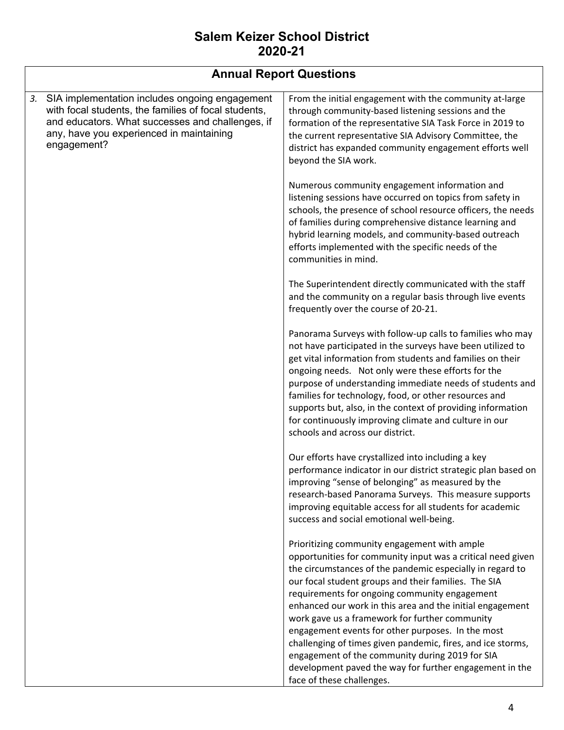|    | <b>Annual Report Questions</b>                                                                                                                                                                                        |                                                                                                                                                                                                                                                                                                                                                                                                                                                                                                                                                                                                                                                                 |  |  |  |  |  |
|----|-----------------------------------------------------------------------------------------------------------------------------------------------------------------------------------------------------------------------|-----------------------------------------------------------------------------------------------------------------------------------------------------------------------------------------------------------------------------------------------------------------------------------------------------------------------------------------------------------------------------------------------------------------------------------------------------------------------------------------------------------------------------------------------------------------------------------------------------------------------------------------------------------------|--|--|--|--|--|
| 3. | SIA implementation includes ongoing engagement<br>with focal students, the families of focal students,<br>and educators. What successes and challenges, if<br>any, have you experienced in maintaining<br>engagement? | From the initial engagement with the community at-large<br>through community-based listening sessions and the<br>formation of the representative SIA Task Force in 2019 to<br>the current representative SIA Advisory Committee, the<br>district has expanded community engagement efforts well<br>beyond the SIA work.                                                                                                                                                                                                                                                                                                                                         |  |  |  |  |  |
|    |                                                                                                                                                                                                                       | Numerous community engagement information and<br>listening sessions have occurred on topics from safety in<br>schools, the presence of school resource officers, the needs<br>of families during comprehensive distance learning and<br>hybrid learning models, and community-based outreach<br>efforts implemented with the specific needs of the<br>communities in mind.                                                                                                                                                                                                                                                                                      |  |  |  |  |  |
|    |                                                                                                                                                                                                                       | The Superintendent directly communicated with the staff<br>and the community on a regular basis through live events<br>frequently over the course of 20-21.                                                                                                                                                                                                                                                                                                                                                                                                                                                                                                     |  |  |  |  |  |
|    |                                                                                                                                                                                                                       | Panorama Surveys with follow-up calls to families who may<br>not have participated in the surveys have been utilized to<br>get vital information from students and families on their<br>ongoing needs. Not only were these efforts for the<br>purpose of understanding immediate needs of students and<br>families for technology, food, or other resources and<br>supports but, also, in the context of providing information<br>for continuously improving climate and culture in our<br>schools and across our district.                                                                                                                                     |  |  |  |  |  |
|    |                                                                                                                                                                                                                       | Our efforts have crystallized into including a key<br>performance indicator in our district strategic plan based on<br>improving "sense of belonging" as measured by the<br>research-based Panorama Surveys. This measure supports<br>improving equitable access for all students for academic<br>success and social emotional well-being.                                                                                                                                                                                                                                                                                                                      |  |  |  |  |  |
|    |                                                                                                                                                                                                                       | Prioritizing community engagement with ample<br>opportunities for community input was a critical need given<br>the circumstances of the pandemic especially in regard to<br>our focal student groups and their families. The SIA<br>requirements for ongoing community engagement<br>enhanced our work in this area and the initial engagement<br>work gave us a framework for further community<br>engagement events for other purposes. In the most<br>challenging of times given pandemic, fires, and ice storms,<br>engagement of the community during 2019 for SIA<br>development paved the way for further engagement in the<br>face of these challenges. |  |  |  |  |  |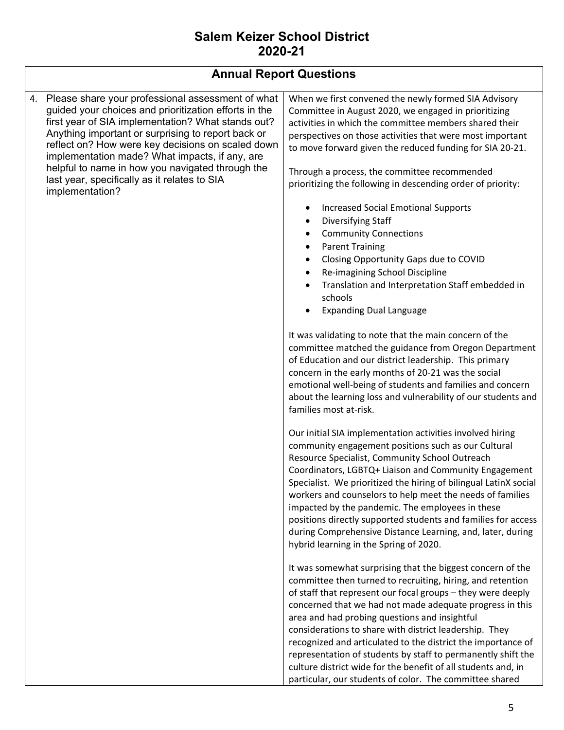| <b>Annual Report Questions</b>                                                                                                                                                                                                                                                                                                                                                                                                                             |                                                                                                                                                                                                                                                                                                                                                                                                                                                                                                                                                                                                                            |  |  |  |  |  |
|------------------------------------------------------------------------------------------------------------------------------------------------------------------------------------------------------------------------------------------------------------------------------------------------------------------------------------------------------------------------------------------------------------------------------------------------------------|----------------------------------------------------------------------------------------------------------------------------------------------------------------------------------------------------------------------------------------------------------------------------------------------------------------------------------------------------------------------------------------------------------------------------------------------------------------------------------------------------------------------------------------------------------------------------------------------------------------------------|--|--|--|--|--|
| Please share your professional assessment of what<br>4.<br>guided your choices and prioritization efforts in the<br>first year of SIA implementation? What stands out?<br>Anything important or surprising to report back or<br>reflect on? How were key decisions on scaled down<br>implementation made? What impacts, if any, are<br>helpful to name in how you navigated through the<br>last year, specifically as it relates to SIA<br>implementation? | When we first convened the newly formed SIA Advisory<br>Committee in August 2020, we engaged in prioritizing<br>activities in which the committee members shared their<br>perspectives on those activities that were most important<br>to move forward given the reduced funding for SIA 20-21.<br>Through a process, the committee recommended<br>prioritizing the following in descending order of priority:                                                                                                                                                                                                             |  |  |  |  |  |
|                                                                                                                                                                                                                                                                                                                                                                                                                                                            | <b>Increased Social Emotional Supports</b><br>Diversifying Staff<br><b>Community Connections</b><br>٠<br><b>Parent Training</b><br>٠<br>Closing Opportunity Gaps due to COVID<br>Re-imagining School Discipline<br>Translation and Interpretation Staff embedded in<br>schools<br><b>Expanding Dual Language</b>                                                                                                                                                                                                                                                                                                           |  |  |  |  |  |
|                                                                                                                                                                                                                                                                                                                                                                                                                                                            | It was validating to note that the main concern of the<br>committee matched the guidance from Oregon Department<br>of Education and our district leadership. This primary<br>concern in the early months of 20-21 was the social<br>emotional well-being of students and families and concern<br>about the learning loss and vulnerability of our students and<br>families most at-risk.                                                                                                                                                                                                                                   |  |  |  |  |  |
|                                                                                                                                                                                                                                                                                                                                                                                                                                                            | Our initial SIA implementation activities involved hiring<br>community engagement positions such as our Cultural<br>Resource Specialist, Community School Outreach<br>Coordinators, LGBTQ+ Liaison and Community Engagement<br>Specialist. We prioritized the hiring of bilingual LatinX social<br>workers and counselors to help meet the needs of families<br>impacted by the pandemic. The employees in these<br>positions directly supported students and families for access<br>during Comprehensive Distance Learning, and, later, during<br>hybrid learning in the Spring of 2020.                                  |  |  |  |  |  |
|                                                                                                                                                                                                                                                                                                                                                                                                                                                            | It was somewhat surprising that the biggest concern of the<br>committee then turned to recruiting, hiring, and retention<br>of staff that represent our focal groups - they were deeply<br>concerned that we had not made adequate progress in this<br>area and had probing questions and insightful<br>considerations to share with district leadership. They<br>recognized and articulated to the district the importance of<br>representation of students by staff to permanently shift the<br>culture district wide for the benefit of all students and, in<br>particular, our students of color. The committee shared |  |  |  |  |  |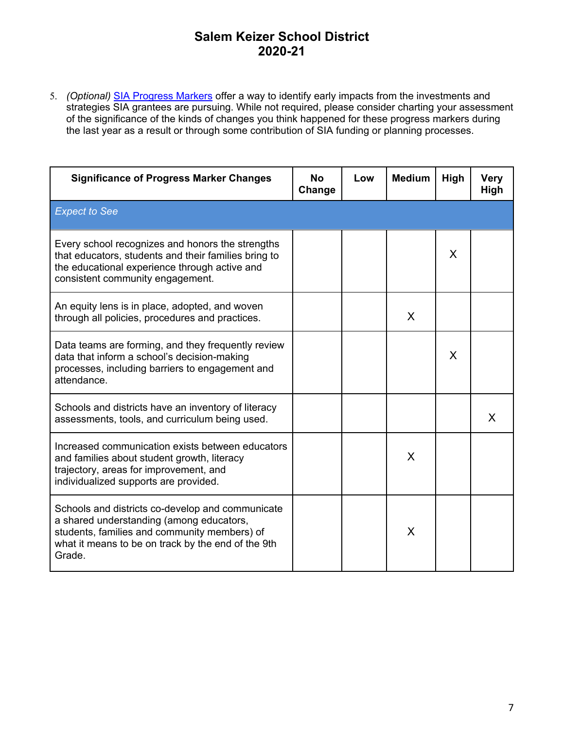5. *(Optional)* SIA Progress Markers offer a way to identify early impacts from the investments and strategies SIA grantees are pursuing. While not required, please consider charting your assessment of the significance of the kinds of changes you think happened for these progress markers during the last year as a result or through some contribution of SIA funding or planning processes.

| <b>Significance of Progress Marker Changes</b>                                                                                                                                                               | <b>No</b><br>Change | Low | <b>Medium</b> | High | <b>Very</b><br>High |
|--------------------------------------------------------------------------------------------------------------------------------------------------------------------------------------------------------------|---------------------|-----|---------------|------|---------------------|
| <b>Expect to See</b>                                                                                                                                                                                         |                     |     |               |      |                     |
| Every school recognizes and honors the strengths<br>that educators, students and their families bring to<br>the educational experience through active and<br>consistent community engagement.                |                     |     |               | X    |                     |
| An equity lens is in place, adopted, and woven<br>through all policies, procedures and practices.                                                                                                            |                     |     | X             |      |                     |
| Data teams are forming, and they frequently review<br>data that inform a school's decision-making<br>processes, including barriers to engagement and<br>attendance.                                          |                     |     |               | X    |                     |
| Schools and districts have an inventory of literacy<br>assessments, tools, and curriculum being used.                                                                                                        |                     |     |               |      | X                   |
| Increased communication exists between educators<br>and families about student growth, literacy<br>trajectory, areas for improvement, and<br>individualized supports are provided.                           |                     |     | X             |      |                     |
| Schools and districts co-develop and communicate<br>a shared understanding (among educators,<br>students, families and community members) of<br>what it means to be on track by the end of the 9th<br>Grade. |                     |     | X             |      |                     |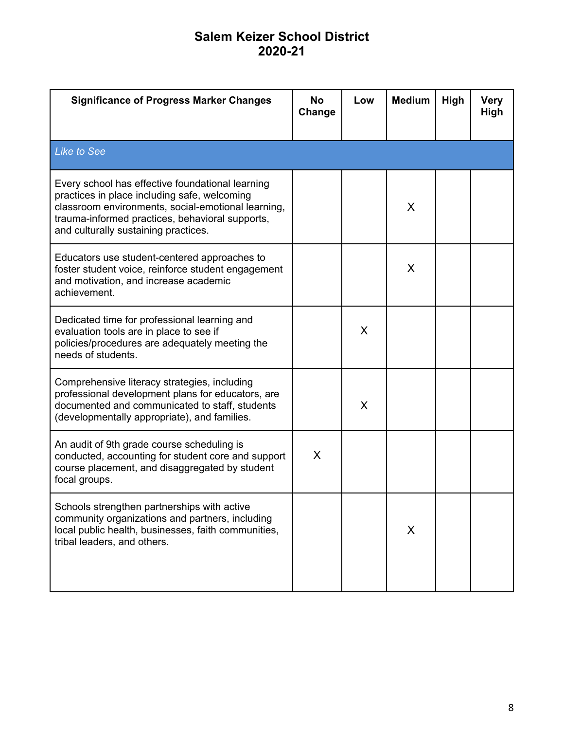| <b>Significance of Progress Marker Changes</b>                                                                                                                                                                                                    | <b>No</b><br>Change | Low | <b>Medium</b> | High | <b>Very</b><br>High |
|---------------------------------------------------------------------------------------------------------------------------------------------------------------------------------------------------------------------------------------------------|---------------------|-----|---------------|------|---------------------|
| <b>Like to See</b>                                                                                                                                                                                                                                |                     |     |               |      |                     |
| Every school has effective foundational learning<br>practices in place including safe, welcoming<br>classroom environments, social-emotional learning,<br>trauma-informed practices, behavioral supports,<br>and culturally sustaining practices. |                     |     | X             |      |                     |
| Educators use student-centered approaches to<br>foster student voice, reinforce student engagement<br>and motivation, and increase academic<br>achievement.                                                                                       |                     |     | X             |      |                     |
| Dedicated time for professional learning and<br>evaluation tools are in place to see if<br>policies/procedures are adequately meeting the<br>needs of students.                                                                                   |                     | X   |               |      |                     |
| Comprehensive literacy strategies, including<br>professional development plans for educators, are<br>documented and communicated to staff, students<br>(developmentally appropriate), and families.                                               |                     | X   |               |      |                     |
| An audit of 9th grade course scheduling is<br>conducted, accounting for student core and support<br>course placement, and disaggregated by student<br>focal groups.                                                                               | X                   |     |               |      |                     |
| Schools strengthen partnerships with active<br>community organizations and partners, including<br>local public health, businesses, faith communities,<br>tribal leaders, and others.                                                              |                     |     | X             |      |                     |